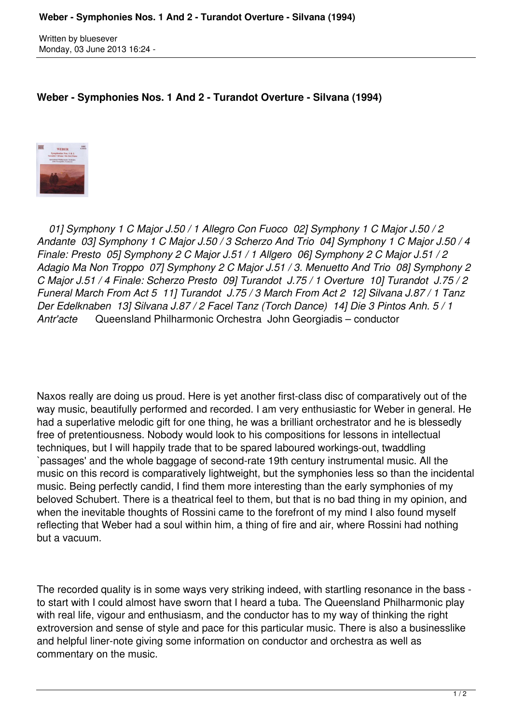Written by bluesever Monday, 03 June 2013 16:24 -

## **Weber - Symphonies Nos. 1 And 2 - Turandot Overture - Silvana (1994)**



 *01] Symphony 1 C Major J.50 / 1 Allegro Con Fuoco 02] Symphony 1 C Major J.50 / 2 Andante 03] Symphony 1 C Major J.50 / 3 Scherzo And Trio 04] Symphony 1 C Major J.50 / 4 Finale: Presto 05] Symphony 2 C Major J.51 / 1 Allgero 06] Symphony 2 C Major J.51 / 2 Adagio Ma Non Troppo 07] Symphony 2 C Major J.51 / 3. Menuetto And Trio 08] Symphony 2 C Major J.51 / 4 Finale: Scherzo Presto 09] Turandot J.75 / 1 Overture 10] Turandot J.75 / 2 Funeral March From Act 5 11] Turandot J.75 / 3 March From Act 2 12] Silvana J.87 / 1 Tanz Der Edelknaben 13] Silvana J.87 / 2 Facel Tanz (Torch Dance) 14] Die 3 Pintos Anh. 5 / 1 Antr'acte* Queensland Philharmonic Orchestra John Georgiadis – conductor

Naxos really are doing us proud. Here is yet another first-class disc of comparatively out of the way music, beautifully performed and recorded. I am very enthusiastic for Weber in general. He had a superlative melodic gift for one thing, he was a brilliant orchestrator and he is blessedly free of pretentiousness. Nobody would look to his compositions for lessons in intellectual techniques, but I will happily trade that to be spared laboured workings-out, twaddling `passages' and the whole baggage of second-rate 19th century instrumental music. All the music on this record is comparatively lightweight, but the symphonies less so than the incidental music. Being perfectly candid, I find them more interesting than the early symphonies of my beloved Schubert. There is a theatrical feel to them, but that is no bad thing in my opinion, and when the inevitable thoughts of Rossini came to the forefront of my mind I also found myself reflecting that Weber had a soul within him, a thing of fire and air, where Rossini had nothing but a vacuum.

The recorded quality is in some ways very striking indeed, with startling resonance in the bass to start with I could almost have sworn that I heard a tuba. The Queensland Philharmonic play with real life, vigour and enthusiasm, and the conductor has to my way of thinking the right extroversion and sense of style and pace for this particular music. There is also a businesslike and helpful liner-note giving some information on conductor and orchestra as well as commentary on the music.